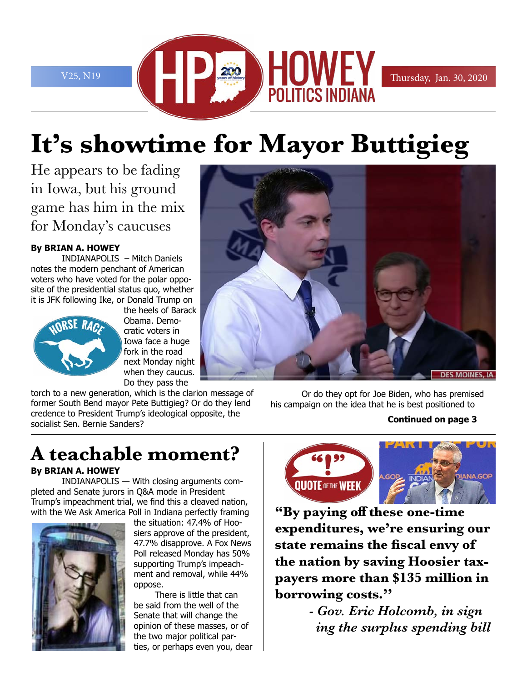

# **It's showtime for Mayor Buttigieg**

He appears to be fading in Iowa, but his ground game has him in the mix for Monday's caucuses

#### **By BRIAN A. HOWEY**

INDIANAPOLIS – Mitch Daniels notes the modern penchant of American voters who have voted for the polar opposite of the presidential status quo, whether it is JFK following Ike, or Donald Trump on



the heels of Barack Obama. Democratic voters in Iowa face a huge fork in the road next Monday night when they caucus. Do they pass the

torch to a new generation, which is the clarion message of former South Bend mayor Pete Buttigieg? Or do they lend credence to President Trump's ideological opposite, the socialist Sen. Bernie Sanders?

Or do they opt for Joe Biden, who has premised his campaign on the idea that he is best positioned to

#### **Continued on page 3**

# **IANA.GOP QUOTE OF THE WEEK**

**"By paying off these one-time expenditures, we're ensuring our state remains the fiscal envy of the nation by saving Hoosier taxpayers more than \$135 million in borrowing costs.''** 

> *- Gov. Eric Holcomb, in sign ing the surplus spending bill*

# **A teachable moment?**

#### **By BRIAN A. HOWEY**

INDIANAPOLIS — With closing arguments completed and Senate jurors in Q&A mode in President Trump's impeachment trial, we find this a cleaved nation, with the We Ask America Poll in Indiana perfectly framing



the situation: 47.4% of Hoosiers approve of the president, 47.7% disapprove. A Fox News Poll released Monday has 50% supporting Trump's impeachment and removal, while 44% oppose.

There is little that can be said from the well of the Senate that will change the opinion of these masses, or of the two major political parties, or perhaps even you, dear

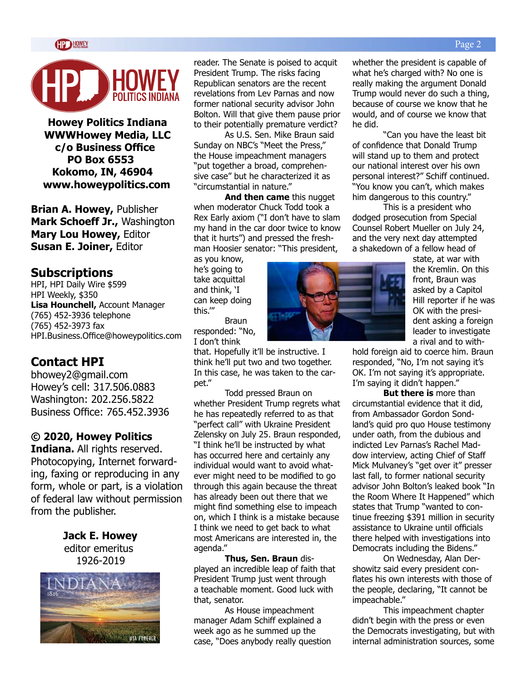

**Howey Politics Indiana WWWHowey Media, LLC c/o Business Office PO Box 6553 Kokomo, IN, 46904 www.howeypolitics.com**

**Brian A. Howey,** Publisher **Mark Schoeff Jr.,** Washington **Mary Lou Howey,** Editor **Susan E. Joiner,** Editor

#### **Subscriptions**

HPI, HPI Daily Wire \$599 HPI Weekly, \$350 **Lisa Hounchell,** Account Manager (765) 452-3936 telephone (765) 452-3973 fax HPI.Business.Office@howeypolitics.com

#### **Contact HPI**

bhowey2@gmail.com Howey's cell: 317.506.0883 Washington: 202.256.5822 Business Office: 765.452.3936

#### **© 2020, Howey Politics**

**Indiana.** All rights reserved. Photocopying, Internet forwarding, faxing or reproducing in any form, whole or part, is a violation of federal law without permission from the publisher.

> **Jack E. Howey** editor emeritus 1926-2019



reader. The Senate is poised to acquit President Trump. The risks facing Republican senators are the recent revelations from Lev Parnas and now former national security advisor John Bolton. Will that give them pause prior to their potentially premature verdict?

As U.S. Sen. Mike Braun said Sunday on NBC's "Meet the Press," the House impeachment managers "put together a broad, comprehensive case" but he characterized it as "circumstantial in nature."

**And then came** this nugget when moderator Chuck Todd took a Rex Early axiom ("I don't have to slam my hand in the car door twice to know that it hurts") and pressed the freshman Hoosier senator: "This president,

as you know, he's going to take acquittal and think, 'I can keep doing this.'" Braun

responded: "No, I don't think

that. Hopefully it'll be instructive. I think he'll put two and two together. In this case, he was taken to the carpet."

Todd pressed Braun on whether President Trump regrets what he has repeatedly referred to as that "perfect call" with Ukraine President Zelensky on July 25. Braun responded, "I think he'll be instructed by what has occurred here and certainly any individual would want to avoid whatever might need to be modified to go through this again because the threat has already been out there that we might find something else to impeach on, which I think is a mistake because I think we need to get back to what most Americans are interested in, the agenda."

**Thus, Sen. Braun** displayed an incredible leap of faith that President Trump just went through a teachable moment. Good luck with that, senator.

As House impeachment manager Adam Schiff explained a week ago as he summed up the case, "Does anybody really question

whether the president is capable of what he's charged with? No one is really making the argument Donald Trump would never do such a thing, because of course we know that he would, and of course we know that he did.

"Can you have the least bit of confidence that Donald Trump will stand up to them and protect our national interest over his own personal interest?" Schiff continued. "You know you can't, which makes him dangerous to this country."

This is a president who dodged prosecution from Special Counsel Robert Mueller on July 24, and the very next day attempted a shakedown of a fellow head of



state, at war with the Kremlin. On this front, Braun was asked by a Capitol Hill reporter if he was OK with the president asking a foreign leader to investigate a rival and to with-

hold foreign aid to coerce him. Braun responded, "No, I'm not saying it's OK. I'm not saying it's appropriate. I'm saying it didn't happen."

**But there is** more than circumstantial evidence that it did, from Ambassador Gordon Sondland's quid pro quo House testimony under oath, from the dubious and indicted Lev Parnas's Rachel Maddow interview, acting Chief of Staff Mick Mulvaney's "get over it" presser last fall, to former national security advisor John Bolton's leaked book "In the Room Where It Happened" which states that Trump "wanted to continue freezing \$391 million in security assistance to Ukraine until officials there helped with investigations into Democrats including the Bidens."

On Wednesday, Alan Dershowitz said every president conflates his own interests with those of the people, declaring, "It cannot be impeachable."

This impeachment chapter didn't begin with the press or even the Democrats investigating, but with internal administration sources, some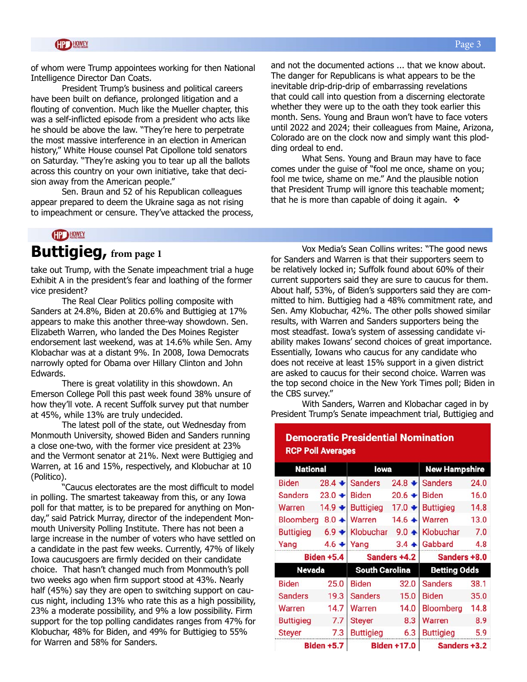of whom were Trump appointees working for then National Intelligence Director Dan Coats.

President Trump's business and political careers have been built on defiance, prolonged litigation and a flouting of convention. Much like the Mueller chapter, this was a self-inflicted episode from a president who acts like he should be above the law. "They're here to perpetrate the most massive interference in an election in American history," White House counsel Pat Cipollone told senators on Saturday. "They're asking you to tear up all the ballots across this country on your own initiative, take that decision away from the American people."

Sen. Braun and 52 of his Republican colleagues appear prepared to deem the Ukraine saga as not rising to impeachment or censure. They've attacked the process, and not the documented actions ... that we know about. The danger for Republicans is what appears to be the inevitable drip-drip-drip of embarrassing revelations that could call into question from a discerning electorate whether they were up to the oath they took earlier this month. Sens. Young and Braun won't have to face voters until 2022 and 2024; their colleagues from Maine, Arizona, Colorado are on the clock now and simply want this plodding ordeal to end.

What Sens. Young and Braun may have to face comes under the guise of "fool me once, shame on you; fool me twice, shame on me." And the plausible notion that President Trump will ignore this teachable moment; that he is more than capable of doing it again.  $\cdot$ 

#### **CIP HOWEY**

### **Buttigieg, from page 1**

take out Trump, with the Senate impeachment trial a huge Exhibit A in the president's fear and loathing of the former vice president?

The Real Clear Politics polling composite with Sanders at 24.8%, Biden at 20.6% and Buttigieg at 17% appears to make this another three-way showdown. Sen. Elizabeth Warren, who landed the Des Moines Register endorsement last weekend, was at 14.6% while Sen. Amy Klobachar was at a distant 9%. In 2008, Iowa Democrats narrowly opted for Obama over Hillary Clinton and John Edwards.

There is great volatility in this showdown. An Emerson College Poll this past week found 38% unsure of how they'll vote. A recent Suffolk survey put that number at 45%, while 13% are truly undecided.

The latest poll of the state, out Wednesday from Monmouth University, showed Biden and Sanders running a close one-two, with the former vice president at 23% and the Vermont senator at 21%. Next were Buttigieg and Warren, at 16 and 15%, respectively, and Klobuchar at 10 (Politico).

"Caucus electorates are the most difficult to model in polling. The smartest takeaway from this, or any Iowa poll for that matter, is to be prepared for anything on Monday," said Patrick Murray, director of the independent Monmouth University Polling Institute. There has not been a large increase in the number of voters who have settled on a candidate in the past few weeks. Currently, 47% of likely Iowa caucusgoers are firmly decided on their candidate choice. That hasn't changed much from Monmouth's poll two weeks ago when firm support stood at 43%. Nearly half (45%) say they are open to switching support on caucus night, including 13% who rate this as a high possibility, 23% a moderate possibility, and 9% a low possibility. Firm support for the top polling candidates ranges from 47% for Klobuchar, 48% for Biden, and 49% for Buttigieg to 55% for Warren and 58% for Sanders.

Vox Media's Sean Collins writes: "The good news for Sanders and Warren is that their supporters seem to be relatively locked in; Suffolk found about 60% of their current supporters said they are sure to caucus for them. About half, 53%, of Biden's supporters said they are committed to him. Buttigieg had a 48% commitment rate, and Sen. Amy Klobuchar, 42%. The other polls showed similar results, with Warren and Sanders supporters being the most steadfast. Iowa's system of assessing candidate viability makes Iowans' second choices of great importance. Essentially, Iowans who caucus for any candidate who does not receive at least 15% support in a given district are asked to caucus for their second choice. Warren was the top second choice in the New York Times poll; Biden in the CBS survey."

With Sanders, Warren and Klobachar caged in by President Trump's Senate impeachment trial, Buttigieg and

|                   | <b>RCP Poll Averages</b> |                       |          |                      |      |
|-------------------|--------------------------|-----------------------|----------|----------------------|------|
| <b>National</b>   |                          | lowa                  |          | <b>New Hampshire</b> |      |
| <b>Biden</b>      | $28.4 +$                 | <b>Sanders</b>        | $24.8 +$ | <b>Sanders</b>       | 24.0 |
| <b>Sanders</b>    | $23.0 +$                 | <b>Biden</b>          | $20.6 +$ | <b>Biden</b>         | 16.0 |
| Warren            | $14.9 +$                 | <b>Buttigieg</b>      | $17.0 +$ | <b>Buttigieg</b>     | 14.8 |
| <b>Bloomberg</b>  | $8.0 +$                  | Warren                | $14.6 +$ | Warren               | 13.0 |
| <b>Buttigieg</b>  | $6.9 +$                  | Klobuchar             | $9.0 +$  | Klobuchar            | 7.0  |
| Yang              | $4.6 +$                  | Yang                  | $3.4 +$  | Gabbard              | 4.8  |
| <b>Biden +5.4</b> |                          | Sanders +4.2          |          | Sanders +8.0         |      |
| <b>Nevada</b>     |                          | <b>South Carolina</b> |          | <b>Betting Odds</b>  |      |
| <b>Biden</b>      | 25.0                     | <b>Biden</b>          | 32.0     | <b>Sanders</b>       | 38.1 |
| <b>Sanders</b>    | 19.3                     | <b>Sanders</b>        | 15.0     | <b>Biden</b>         | 35.0 |
| Warren            | 14.7                     | Warren                | 14.0     | <b>Bloomberg</b>     | 14.8 |
| <b>Buttigieg</b>  | 7.7                      | <b>Steyer</b>         | 8.3      | Warren               | 8.9  |
| <b>Steyer</b>     | 7.3                      | <b>Buttigleg</b>      | 6.3      | <b>Buttigieg</b>     | 5.9  |
| <b>Biden +5.7</b> |                          | <b>Biden +17.0</b>    |          | Sanders +3.2         |      |

# **Democratic Presidential Nomination**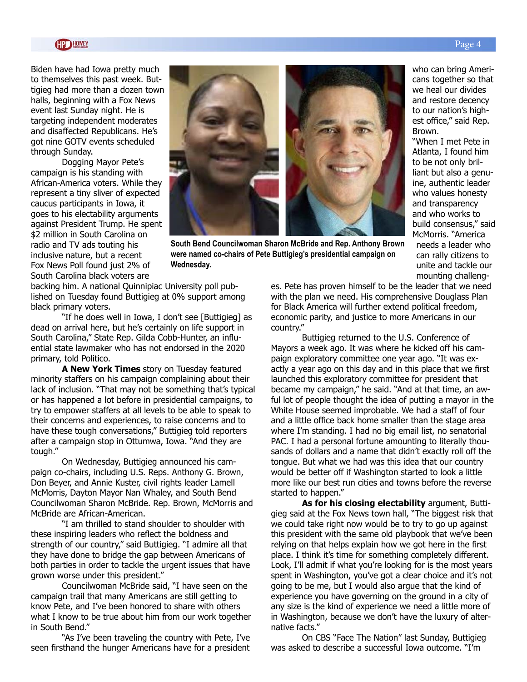Biden have had Iowa pretty much to themselves this past week. Buttigieg had more than a dozen town halls, beginning with a Fox News event last Sunday night. He is targeting independent moderates and disaffected Republicans. He's got nine GOTV events scheduled through Sunday.

Dogging Mayor Pete's campaign is his standing with African-America voters. While they represent a tiny sliver of expected caucus participants in Iowa, it goes to his electability arguments against President Trump. He spent \$2 million in South Carolina on radio and TV ads touting his inclusive nature, but a recent Fox News Poll found just 2% of South Carolina black voters are



**South Bend Councilwoman Sharon McBride and Rep. Anthony Brown were named co-chairs of Pete Buttigieg's presidential campaign on Wednesday.**

backing him. A national Quinnipiac University poll published on Tuesday found Buttigieg at 0% support among black primary voters.

"If he does well in Iowa, I don't see [Buttigieg] as dead on arrival here, but he's certainly on life support in South Carolina," State Rep. Gilda Cobb-Hunter, an influential state lawmaker who has not endorsed in the 2020 primary, told Politico.

**A New York Times** story on Tuesday featured minority staffers on his campaign complaining about their lack of inclusion. "That may not be something that's typical or has happened a lot before in presidential campaigns, to try to empower staffers at all levels to be able to speak to their concerns and experiences, to raise concerns and to have these tough conversations," Buttigieg told reporters after a campaign stop in Ottumwa, Iowa. "And they are tough."

On Wednesday, Buttigieg announced his campaign co-chairs, including U.S. Reps. Anthony G. Brown, Don Beyer, and Annie Kuster, civil rights leader Lamell McMorris, Dayton Mayor Nan Whaley, and South Bend Councilwoman Sharon McBride. Rep. Brown, McMorris and McBride are African-American.

"I am thrilled to stand shoulder to shoulder with these inspiring leaders who reflect the boldness and strength of our country," said Buttigieg. "I admire all that they have done to bridge the gap between Americans of both parties in order to tackle the urgent issues that have grown worse under this president."

Councilwoman McBride said, "I have seen on the campaign trail that many Americans are still getting to know Pete, and I've been honored to share with others what I know to be true about him from our work together in South Bend."

"As I've been traveling the country with Pete, I've seen firsthand the hunger Americans have for a president es. Pete has proven himself to be the leader that we need with the plan we need. His comprehensive Douglass Plan for Black America will further extend political freedom, economic parity, and justice to more Americans in our country."

Buttigieg returned to the U.S. Conference of Mayors a week ago. It was where he kicked off his campaign exploratory committee one year ago. "It was exactly a year ago on this day and in this place that we first launched this exploratory committee for president that became my campaign," he said. "And at that time, an awful lot of people thought the idea of putting a mayor in the White House seemed improbable. We had a staff of four and a little office back home smaller than the stage area where I'm standing. I had no big email list, no senatorial PAC. I had a personal fortune amounting to literally thousands of dollars and a name that didn't exactly roll off the tongue. But what we had was this idea that our country would be better off if Washington started to look a little more like our best run cities and towns before the reverse started to happen."

**As for his closing electability** argument, Buttigieg said at the Fox News town hall, "The biggest risk that we could take right now would be to try to go up against this president with the same old playbook that we've been relying on that helps explain how we got here in the first place. I think it's time for something completely different. Look, I'll admit if what you're looking for is the most years spent in Washington, you've got a clear choice and it's not going to be me, but I would also argue that the kind of experience you have governing on the ground in a city of any size is the kind of experience we need a little more of in Washington, because we don't have the luxury of alternative facts."

On CBS "Face The Nation" last Sunday, Buttigieg was asked to describe a successful Iowa outcome. "I'm

Page 4

who can bring Americans together so that we heal our divides and restore decency to our nation's highest office," said Rep. Brown.

"When I met Pete in Atlanta, I found him to be not only brilliant but also a genuine, authentic leader who values honesty and transparency and who works to build consensus," said McMorris. "America needs a leader who can rally citizens to unite and tackle our mounting challeng-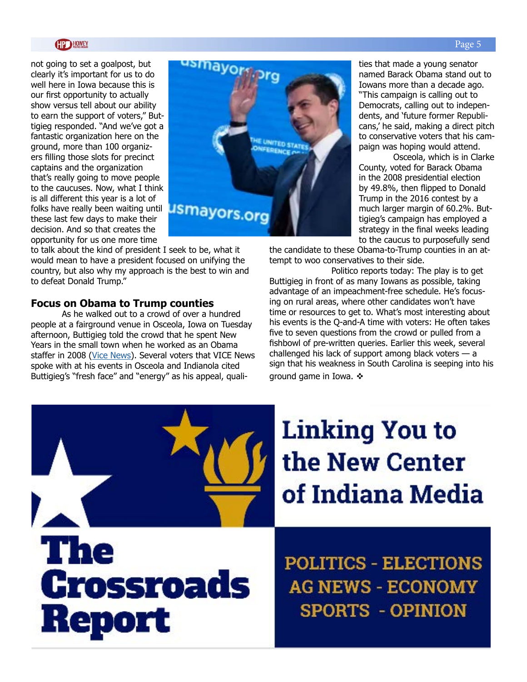not going to set a goalpost, but clearly it's important for us to do well here in Iowa because this is our first opportunity to actually show versus tell about our ability to earn the support of voters," Buttigieg responded. "And we've got a fantastic organization here on the ground, more than 100 organizers filling those slots for precinct captains and the organization that's really going to move people to the caucuses. Now, what I think is all different this year is a lot of folks have really been waiting until these last few days to make their decision. And so that creates the opportunity for us one more time



to talk about the kind of president I seek to be, what it would mean to have a president focused on unifying the country, but also why my approach is the best to win and to defeat Donald Trump."

#### **Focus on Obama to Trump counties**

As he walked out to a crowd of over a hundred people at a fairground venue in Osceola, Iowa on Tuesday afternoon, Buttigieg told the crowd that he spent New Years in the small town when he worked as an Obama staffer in 2008 [\(Vice News](https://www.vice.com/en_us/article/akw3np/mayor-pete-thinks-he-can-flip-trump-counties-in-iowa?utm_source=vicenewstwitter)). Several voters that VICE News spoke with at his events in Osceola and Indianola cited Buttigieg's "fresh face" and "energy" as his appeal, qualities that made a young senator named Barack Obama stand out to Iowans more than a decade ago. "This campaign is calling out to Democrats, calling out to independents, and 'future former Republicans,' he said, making a direct pitch to conservative voters that his campaign was hoping would attend.

 Osceola, which is in Clarke County, voted for Barack Obama in the 2008 presidential election by 49.8%, then flipped to Donald Trump in the 2016 contest by a much larger margin of 60.2%. Buttigieg's campaign has employed a strategy in the final weeks leading to the caucus to purposefully send

the candidate to these Obama-to-Trump counties in an attempt to woo conservatives to their side.

 Politico reports today: The play is to get Buttigieg in front of as many Iowans as possible, taking advantage of an impeachment-free schedule. He's focusing on rural areas, where other candidates won't have time or resources to get to. What's most interesting about his events is the Q-and-A time with voters: He often takes five to seven questions from the crowd or pulled from a fishbowl of pre-written queries. Earlier this week, several challenged his lack of support among black voters — a sign that his weakness in South Carolina is seeping into his ground game in Iowa.  $\cdot\cdot\cdot$ 

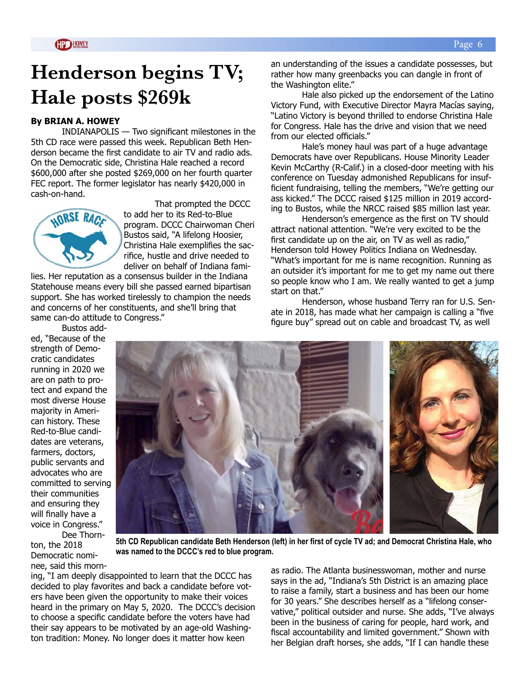# **Henderson begins TV; Hale posts \$269k**

#### **By BRIAN A. HOWEY**

INDIANAPOLIS — Two significant milestones in the 5th CD race were passed this week. Republican Beth Henderson became the first candidate to air TV and radio ads. On the Democratic side, Christina Hale reached a record \$600,000 after she posted \$269,000 on her fourth quarter FEC report. The former legislator has nearly \$420,000 in cash-on-hand.



That prompted the DCCC to add her to its Red-to-Blue program. DCCC Chairwoman Cheri Bustos said, "A lifelong Hoosier, Christina Hale exemplifies the sacrifice, hustle and drive needed to deliver on behalf of Indiana fami-

lies. Her reputation as a consensus builder in the Indiana Statehouse means every bill she passed earned bipartisan support. She has worked tirelessly to champion the needs and concerns of her constituents, and she'll bring that same can-do attitude to Congress."

an understanding of the issues a candidate possesses, but rather how many greenbacks you can dangle in front of the Washington elite."

Hale also picked up the endorsement of the Latino Victory Fund, with Executive Director Mayra Macías saying, "Latino Victory is beyond thrilled to endorse Christina Hale for Congress. Hale has the drive and vision that we need from our elected officials."

Hale's money haul was part of a huge advantage Democrats have over Republicans. House Minority Leader Kevin McCarthy (R-Calif.) in a closed-door meeting with his conference on Tuesday admonished Republicans for insufficient fundraising, telling the members, "We're getting our ass kicked." The DCCC raised \$125 million in 2019 according to Bustos, while the NRCC raised \$85 million last year.

Henderson's emergence as the first on TV should attract national attention. "We're very excited to be the first candidate up on the air, on TV as well as radio," Henderson told Howey Politics Indiana on Wednesday. "What's important for me is name recognition. Running as an outsider it's important for me to get my name out there so people know who I am. We really wanted to get a jump start on that."

Henderson, whose husband Terry ran for U.S. Senate in 2018, has made what her campaign is calling a "five figure buy" spread out on cable and broadcast TV, as well

Bustos added, "Because of the strength of Democratic candidates running in 2020 we are on path to protect and expand the most diverse House majority in American history. These Red-to-Blue candidates are veterans, farmers, doctors, public servants and advocates who are committed to serving their communities and ensuring they will finally have a voice in Congress." Dee Thorn-

ton, the 2018

Democratic nominee, said this morn-



**5th CD Republican candidate Beth Henderson (left) in her first of cycle TV ad; and Democrat Christina Hale, who was named to the DCCC's red to blue program.**

ing, "I am deeply disappointed to learn that the DCCC has decided to play favorites and back a candidate before voters have been given the opportunity to make their voices heard in the primary on May 5, 2020. The DCCC's decision to choose a specific candidate before the voters have had their say appears to be motivated by an age-old Washington tradition: Money. No longer does it matter how keen

as radio. The Atlanta businesswoman, mother and nurse says in the ad, "Indiana's 5th District is an amazing place to raise a family, start a business and has been our home for 30 years." She describes herself as a "lifelong conservative," political outsider and nurse. She adds, "I've always been in the business of caring for people, hard work, and fiscal accountability and limited government." Shown with her Belgian draft horses, she adds, "If I can handle these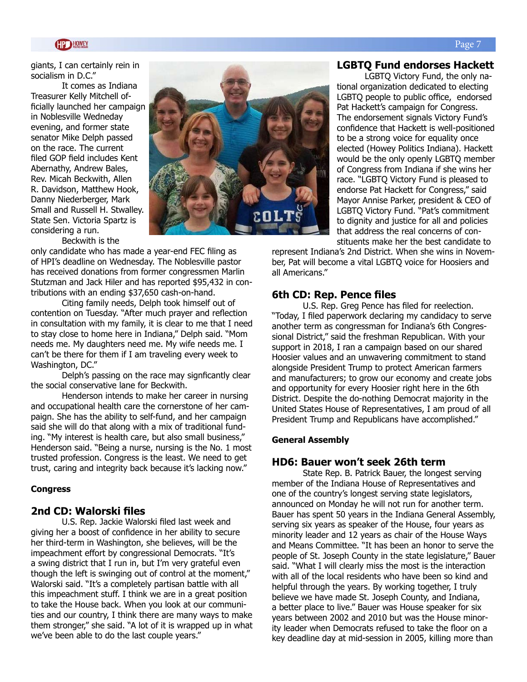giants, I can certainly rein in socialism in D.C."

It comes as Indiana Treasurer Kelly Mitchell officially launched her campaign in Noblesville Wedneday evening, and former state senator Mike Delph passed on the race. The current filed GOP field includes Kent Abernathy, Andrew Bales, Rev. Micah Beckwith, Allen R. Davidson, Matthew Hook, Danny Niederberger, Mark Small and Russell H. Stwalley. State Sen. Victoria Spartz is considering a run.



Beckwith is the

only candidate who has made a year-end FEC filing as of HPI's deadline on Wednesday. The Noblesville pastor has received donations from former congressmen Marlin Stutzman and Jack Hiler and has reported \$95,432 in contributions with an ending \$37,650 cash-on-hand.

Citing family needs, Delph took himself out of contention on Tuesday. "After much prayer and reflection in consultation with my family, it is clear to me that I need to stay close to home here in Indiana," Delph said. "Mom needs me. My daughters need me. My wife needs me. I can't be there for them if I am traveling every week to Washington, DC."

Delph's passing on the race may signficantly clear the social conservative lane for Beckwith.

Henderson intends to make her career in nursing and occupational health care the cornerstone of her campaign. She has the ability to self-fund, and her campaign said she will do that along with a mix of traditional funding. "My interest is health care, but also small business," Henderson said. "Being a nurse, nursing is the No. 1 most trusted profession. Congress is the least. We need to get trust, caring and integrity back because it's lacking now."

#### **Congress**

#### **2nd CD: Walorski files**

U.S. Rep. Jackie Walorski filed last week and giving her a boost of confidence in her ability to secure her third-term in Washington, she believes, will be the impeachment effort by congressional Democrats. "It's a swing district that I run in, but I'm very grateful even though the left is swinging out of control at the moment," Walorski said. "It's a completely partisan battle with all this impeachment stuff. I think we are in a great position to take the House back. When you look at our communities and our country, I think there are many ways to make them stronger," she said. "A lot of it is wrapped up in what we've been able to do the last couple years."

#### **LGBTQ Fund endorses Hackett**

LGBTQ Victory Fund, the only national organization dedicated to electing LGBTQ people to public office, endorsed Pat Hackett's campaign for Congress. The endorsement signals Victory Fund's confidence that Hackett is well-positioned to be a strong voice for equality once elected (Howey Politics Indiana). Hackett would be the only openly LGBTQ member of Congress from Indiana if she wins her race. "LGBTQ Victory Fund is pleased to endorse Pat Hackett for Congress," said Mayor Annise Parker, president & CEO of LGBTQ Victory Fund. "Pat's commitment to dignity and justice for all and policies that address the real concerns of constituents make her the best candidate to

represent Indiana's 2nd District. When she wins in November, Pat will become a vital LGBTQ voice for Hoosiers and all Americans."

#### **6th CD: Rep. Pence files**

U.S. Rep. Greg Pence has filed for reelection. "Today, I filed paperwork declaring my candidacy to serve another term as congressman for Indiana's 6th Congressional District," said the freshman Republican. With your support in 2018, I ran a campaign based on our shared Hoosier values and an unwavering commitment to stand alongside President Trump to protect American farmers and manufacturers; to grow our economy and create jobs and opportunity for every Hoosier right here in the 6th District. Despite the do-nothing Democrat majority in the United States House of Representatives, I am proud of all President Trump and Republicans have accomplished."

#### **General Assembly**

#### **HD6: Bauer won't seek 26th term**

State Rep. B. Patrick Bauer, the longest serving member of the Indiana House of Representatives and one of the country's longest serving state legislators, announced on Monday he will not run for another term. Bauer has spent 50 years in the Indiana General Assembly, serving six years as speaker of the House, four years as minority leader and 12 years as chair of the House Ways and Means Committee. "It has been an honor to serve the people of St. Joseph County in the state legislature," Bauer said. "What I will clearly miss the most is the interaction with all of the local residents who have been so kind and helpful through the years. By working together, I truly believe we have made St. Joseph County, and Indiana, a better place to live." Bauer was House speaker for six years between 2002 and 2010 but was the House minority leader when Democrats refused to take the floor on a key deadline day at mid-session in 2005, killing more than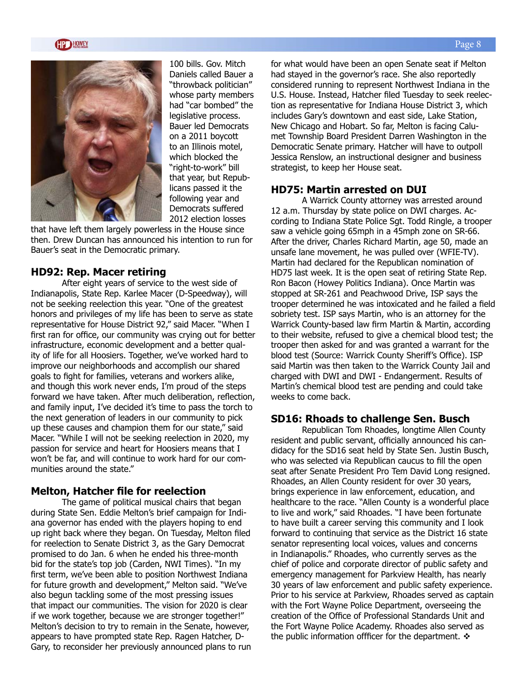



100 bills. Gov. Mitch Daniels called Bauer a "throwback politician" whose party members had "car bombed" the legislative process. Bauer led Democrats on a 2011 boycott to an Illinois motel, which blocked the "right-to-work" bill that year, but Republicans passed it the following year and Democrats suffered 2012 election losses

that have left them largely powerless in the House since then. Drew Duncan has announced his intention to run for Bauer's seat in the Democratic primary.

#### **HD92: Rep. Macer retiring**

After eight years of service to the west side of Indianapolis, State Rep. Karlee Macer (D-Speedway), will not be seeking reelection this year. "One of the greatest honors and privileges of my life has been to serve as state representative for House District 92," said Macer. "When I first ran for office, our community was crying out for better infrastructure, economic development and a better quality of life for all Hoosiers. Together, we've worked hard to improve our neighborhoods and accomplish our shared goals to fight for families, veterans and workers alike, and though this work never ends, I'm proud of the steps forward we have taken. After much deliberation, reflection, and family input, I've decided it's time to pass the torch to the next generation of leaders in our community to pick up these causes and champion them for our state," said Macer. "While I will not be seeking reelection in 2020, my passion for service and heart for Hoosiers means that I won't be far, and will continue to work hard for our communities around the state."

#### **Melton, Hatcher file for reelection**

The game of political musical chairs that began during State Sen. Eddie Melton's brief campaign for Indiana governor has ended with the players hoping to end up right back where they began. On Tuesday, Melton filed for reelection to Senate District 3, as the Gary Democrat promised to do Jan. 6 when he ended his three-month bid for the state's top job (Carden, NWI Times). "In my first term, we've been able to position Northwest Indiana for future growth and development," Melton said. "We've also begun tackling some of the most pressing issues that impact our communities. The vision for 2020 is clear if we work together, because we are stronger together!" Melton's decision to try to remain in the Senate, however, appears to have prompted state Rep. Ragen Hatcher, D-Gary, to reconsider her previously announced plans to run for what would have been an open Senate seat if Melton had stayed in the governor's race. She also reportedly considered running to represent Northwest Indiana in the U.S. House. Instead, Hatcher filed Tuesday to seek reelection as representative for Indiana House District 3, which includes Gary's downtown and east side, Lake Station, New Chicago and Hobart. So far, Melton is facing Calumet Township Board President Darren Washington in the Democratic Senate primary. Hatcher will have to outpoll Jessica Renslow, an instructional designer and business strategist, to keep her House seat.

#### **HD75: Martin arrested on DUI**

A Warrick County attorney was arrested around 12 a.m. Thursday by state police on DWI charges. According to Indiana State Police Sgt. Todd Ringle, a trooper saw a vehicle going 65mph in a 45mph zone on SR-66. After the driver, Charles Richard Martin, age 50, made an unsafe lane movement, he was pulled over (WFIE-TV). Martin had declared for the Republican nomination of HD75 last week. It is the open seat of retiring State Rep. Ron Bacon (Howey Politics Indiana). Once Martin was stopped at SR-261 and Peachwood Drive, ISP says the trooper determined he was intoxicated and he failed a field sobriety test. ISP says Martin, who is an attorney for the Warrick County-based law firm Martin & Martin, according to their website, refused to give a chemical blood test; the trooper then asked for and was granted a warrant for the blood test (Source: Warrick County Sheriff's Office). ISP said Martin was then taken to the Warrick County Jail and charged with DWI and DWI - Endangerment. Results of Martin's chemical blood test are pending and could take weeks to come back.

#### **SD16: Rhoads to challenge Sen. Busch**

Republican Tom Rhoades, longtime Allen County resident and public servant, officially announced his candidacy for the SD16 seat held by State Sen. Justin Busch, who was selected via Republican caucus to fill the open seat after Senate President Pro Tem David Long resigned. Rhoades, an Allen County resident for over 30 years, brings experience in law enforcement, education, and healthcare to the race. "Allen County is a wonderful place to live and work," said Rhoades. "I have been fortunate to have built a career serving this community and I look forward to continuing that service as the District 16 state senator representing local voices, values and concerns in Indianapolis." Rhoades, who currently serves as the chief of police and corporate director of public safety and emergency management for Parkview Health, has nearly 30 years of law enforcement and public safety experience. Prior to his service at Parkview, Rhoades served as captain with the Fort Wayne Police Department, overseeing the creation of the Office of Professional Standards Unit and the Fort Wayne Police Academy. Rhoades also served as the public information offficer for the department.  $\mathbf{\hat{*}}$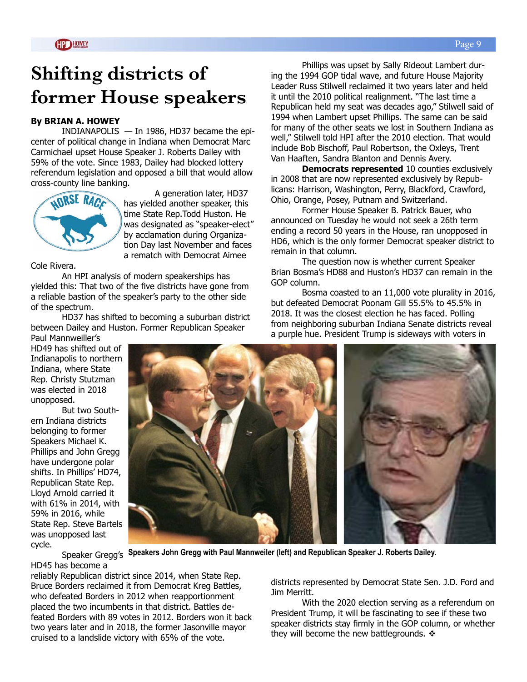# **Shifting districts of former House speakers**

#### **By BRIAN A. HOWEY**

INDIANAPOLIS  $-$  In 1986, HD37 became the epicenter of political change in Indiana when Democrat Marc Carmichael upset House Speaker J. Roberts Dailey with 59% of the vote. Since 1983, Dailey had blocked lottery referendum legislation and opposed a bill that would allow cross-county line banking.



A generation later, HD37 has yielded another speaker, this time State Rep.Todd Huston. He was designated as "speaker-elect" by acclamation during Organization Day last November and faces a rematch with Democrat Aimee

Cole Rivera.

An HPI analysis of modern speakerships has yielded this: That two of the five districts have gone from a reliable bastion of the speaker's party to the other side of the spectrum.

HD37 has shifted to becoming a suburban district between Dailey and Huston. Former Republican Speaker

Paul Mannweiller's HD49 has shifted out of Indianapolis to northern Indiana, where State Rep. Christy Stutzman was elected in 2018 unopposed.

But two Southern Indiana districts belonging to former Speakers Michael K. Phillips and John Gregg have undergone polar shifts. In Phillips' HD74, Republican State Rep. Lloyd Arnold carried it with 61% in 2014, with 59% in 2016, while State Rep. Steve Bartels was unopposed last cycle.

Speaker Gregg′s Speakers John Gregg with Paul Mannweiler (left) and Republican Speaker J. Roberts Dailey.

HD45 has become a

reliably Republican district since 2014, when State Rep. Bruce Borders reclaimed it from Democrat Kreg Battles, who defeated Borders in 2012 when reapportionment placed the two incumbents in that district. Battles defeated Borders with 89 votes in 2012. Borders won it back two years later and in 2018, the former Jasonville mayor cruised to a landslide victory with 65% of the vote.

districts represented by Democrat State Sen. J.D. Ford and Jim Merritt.

With the 2020 election serving as a referendum on President Trump, it will be fascinating to see if these two speaker districts stay firmly in the GOP column, or whether they will become the new battlegrounds.  $\triangleleft$ 

Phillips was upset by Sally Rideout Lambert during the 1994 GOP tidal wave, and future House Majority Leader Russ Stilwell reclaimed it two years later and held it until the 2010 political realignment. "The last time a Republican held my seat was decades ago," Stilwell said of 1994 when Lambert upset Phillips. The same can be said for many of the other seats we lost in Southern Indiana as well," Stilwell told HPI after the 2010 election. That would include Bob Bischoff, Paul Robertson, the Oxleys, Trent Van Haaften, Sandra Blanton and Dennis Avery.

**Democrats represented** 10 counties exclusively in 2008 that are now represented exclusively by Republicans: Harrison, Washington, Perry, Blackford, Crawford, Ohio, Orange, Posey, Putnam and Switzerland.

Former House Speaker B. Patrick Bauer, who announced on Tuesday he would not seek a 26th term ending a record 50 years in the House, ran unopposed in HD6, which is the only former Democrat speaker district to remain in that column.

The question now is whether current Speaker Brian Bosma's HD88 and Huston's HD37 can remain in the GOP column.

Bosma coasted to an 11,000 vote plurality in 2016, but defeated Democrat Poonam Gill 55.5% to 45.5% in 2018. It was the closest election he has faced. Polling from neighboring suburban Indiana Senate districts reveal a purple hue. President Trump is sideways with voters in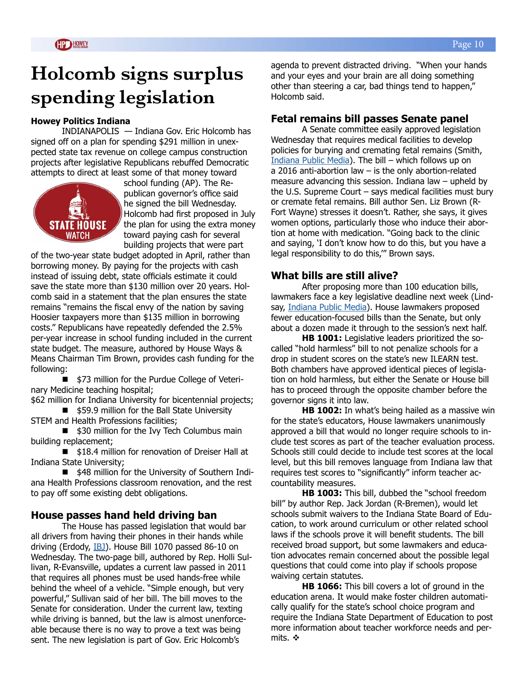# **Holcomb signs surplus spending legislation**

#### **Howey Politics Indiana**

INDIANAPOLIS — Indiana Gov. Eric Holcomb has signed off on a plan for spending \$291 million in unexpected state tax revenue on college campus construction projects after legislative Republicans rebuffed Democratic attempts to direct at least some of that money toward



school funding (AP). The Republican governor's office said he signed the bill Wednesday. Holcomb had first proposed in July the plan for using the extra money toward paying cash for several building projects that were part

of the two-year state budget adopted in April, rather than borrowing money. By paying for the projects with cash instead of issuing debt, state officials estimate it could save the state more than \$130 million over 20 years. Holcomb said in a statement that the plan ensures the state remains "remains the fiscal envy of the nation by saving Hoosier taxpayers more than \$135 million in borrowing costs." Republicans have repeatedly defended the 2.5% per-year increase in school funding included in the current state budget. The measure, authored by House Ways & Means Chairman Tim Brown, provides cash funding for the following:

\$73 million for the Purdue College of Veterinary Medicine teaching hospital;

\$62 million for Indiana University for bicentennial projects; ■ \$59.9 million for the Ball State University

STEM and Health Professions facilities;

■ \$30 million for the Ivy Tech Columbus main building replacement;

■ \$18.4 million for renovation of Dreiser Hall at Indiana State University;

■ \$48 million for the University of Southern Indiana Health Professions classroom renovation, and the rest to pay off some existing debt obligations.

#### **House passes hand held driving ban**

The House has passed legislation that would bar all drivers from having their phones in their hands while driving (Erdody, [IBJ](https://www.ibj.com/articles/distracted-driving-bill-passes-house-moves-to-senate)). House Bill 1070 passed 86-10 on Wednesday. The two-page bill, authored by Rep. Holli Sullivan, R-Evansville, updates a current law passed in 2011 that requires all phones must be used hands-free while behind the wheel of a vehicle. "Simple enough, but very powerful," Sullivan said of her bill. The bill moves to the Senate for consideration. Under the current law, texting while driving is banned, but the law is almost unenforceable because there is no way to prove a text was being sent. The new legislation is part of Gov. Eric Holcomb's

agenda to prevent distracted driving. "When your hands and your eyes and your brain are all doing something other than steering a car, bad things tend to happen," Holcomb said.

#### **Fetal remains bill passes Senate panel**

A Senate committee easily approved legislation Wednesday that requires medical facilities to develop policies for burying and cremating fetal remains (Smith, [Indiana Public Media](https://indianapublicmedia.org/news/fetal-remains-disposal-rules-bill-is-only-abortion-measure-advancing-in-2020.php)). The bill – which follows up on a 2016 anti-abortion law – is the only abortion-related measure advancing this session. Indiana law – upheld by the U.S. Supreme Court  $-$  says medical facilities must bury or cremate fetal remains. Bill author Sen. Liz Brown (R-Fort Wayne) stresses it doesn't. Rather, she says, it gives women options, particularly those who induce their abortion at home with medication. "Going back to the clinic and saying, 'I don't know how to do this, but you have a legal responsibility to do this,'" Brown says.

#### **What bills are still alive?**

After proposing more than 100 education bills, lawmakers face a key legislative deadline next week (Lind-say, [Indiana Public Media](https://indianapublicmedia.org/news/its-legislative-halftime-for-house-education-bills-what-survived.php)). House lawmakers proposed fewer education-focused bills than the Senate, but only about a dozen made it through to the session's next half.

**HB 1001:** Legislative leaders prioritized the socalled "hold harmless" bill to not penalize schools for a drop in student scores on the state's new ILEARN test. Both chambers have approved identical pieces of legislation on hold harmless, but either the Senate or House bill has to proceed through the opposite chamber before the governor signs it into law.

**HB 1002:** In what's being hailed as a massive win for the state's educators, House lawmakers unanimously approved a bill that would no longer require schools to include test scores as part of the teacher evaluation process. Schools still could decide to include test scores at the local level, but this bill removes language from Indiana law that requires test scores to "significantly" inform teacher accountability measures.

**HB 1003:** This bill, dubbed the "school freedom bill" by author Rep. Jack Jordan (R-Bremen), would let schools submit waivers to the Indiana State Board of Education, to work around curriculum or other related school laws if the schools prove it will benefit students. The bill received broad support, but some lawmakers and education advocates remain concerned about the possible legal questions that could come into play if schools propose waiving certain statutes.

**HB 1066:** This bill covers a lot of ground in the education arena. It would make foster children automatically qualify for the state's school choice program and require the Indiana State Department of Education to post more information about teacher workforce needs and permits.  $\mathbf{\hat{v}}$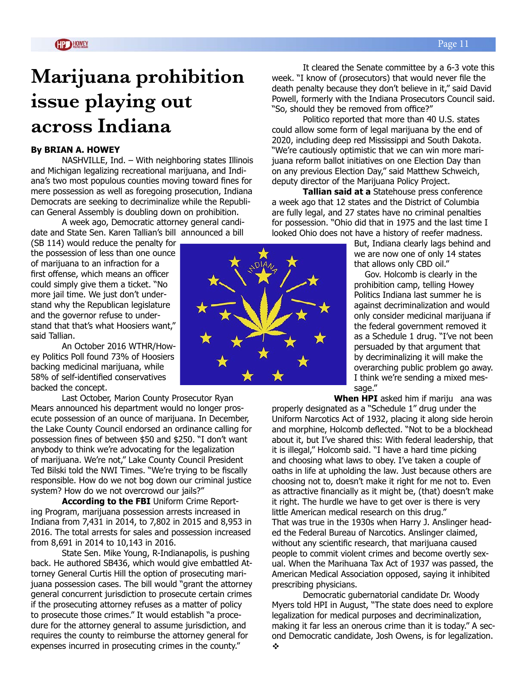# **Marijuana prohibition issue playing out across Indiana**

#### **By BRIAN A. HOWEY**

NASHVILLE, Ind. – With neighboring states Illinois and Michigan legalizing recreational marijuana, and Indiana's two most populous counties moving toward fines for mere possession as well as foregoing prosecution, Indiana Democrats are seeking to decriminalize while the Republican General Assembly is doubling down on prohibition.

A week ago, Democratic attorney general candidate and State Sen. Karen Tallian's bill announced a bill

(SB 114) would reduce the penalty for the possession of less than one ounce of marijuana to an infraction for a first offense, which means an officer could simply give them a ticket. "No more jail time. We just don't understand why the Republican legislature and the governor refuse to understand that that's what Hoosiers want," said Tallian.

An October 2016 WTHR/Howey Politics Poll found 73% of Hoosiers backing medicinal marijuana, while 58% of self-identified conservatives backed the concept.

Last October, Marion County Prosecutor Ryan Mears announced his department would no longer prosecute possession of an ounce of marijuana. In December, the Lake County Council endorsed an ordinance calling for possession fines of between \$50 and \$250. "I don't want anybody to think we're advocating for the legalization of marijuana. We're not," Lake County Council President Ted Bilski told the NWI Times. "We're trying to be fiscally responsible. How do we not bog down our criminal justice system? How do we not overcrowd our jails?"

**According to the FBI** Uniform Crime Reporting Program, marijuana possession arrests increased in Indiana from 7,431 in 2014, to 7,802 in 2015 and 8,953 in 2016. The total arrests for sales and possession increased from 8,691 in 2014 to 10,143 in 2016.

State Sen. Mike Young, R-Indianapolis, is pushing back. He authored SB436, which would give embattled Attorney General Curtis Hill the option of prosecuting marijuana possession cases. The bill would "grant the attorney general concurrent jurisdiction to prosecute certain crimes if the prosecuting attorney refuses as a matter of policy to prosecute those crimes." It would establish "a procedure for the attorney general to assume jurisdiction, and requires the county to reimburse the attorney general for expenses incurred in prosecuting crimes in the county."

It cleared the Senate committee by a 6-3 vote this week. "I know of (prosecutors) that would never file the death penalty because they don't believe in it," said David Powell, formerly with the Indiana Prosecutors Council said. "So, should they be removed from office?"

Politico reported that more than 40 U.S. states could allow some form of legal marijuana by the end of 2020, including deep red Mississippi and South Dakota. "We're cautiously optimistic that we can win more marijuana reform ballot initiatives on one Election Day than on any previous Election Day," said Matthew Schweich, deputy director of the Marijuana Policy Project.

**Tallian said at a** Statehouse press conference a week ago that 12 states and the District of Columbia are fully legal, and 27 states have no criminal penalties for possession. "Ohio did that in 1975 and the last time I looked Ohio does not have a history of reefer madness.

> But, Indiana clearly lags behind and we are now one of only 14 states that allows only CBD oil."

Gov. Holcomb is clearly in the prohibition camp, telling Howey Politics Indiana last summer he is against decriminalization and would only consider medicinal marijuana if the federal government removed it as a Schedule 1 drug. "I've not been persuaded by that argument that by decriminalizing it will make the overarching public problem go away. I think we're sending a mixed message."

**When HPI** asked him if mariju ana was

properly designated as a "Schedule 1" drug under the Uniform Narcotics Act of 1932, placing it along side heroin and morphine, Holcomb deflected. "Not to be a blockhead about it, but I've shared this: With federal leadership, that it is illegal," Holcomb said. "I have a hard time picking and choosing what laws to obey. I've taken a couple of oaths in life at upholding the law. Just because others are choosing not to, doesn't make it right for me not to. Even as attractive financially as it might be, (that) doesn't make it right. The hurdle we have to get over is there is very little American medical research on this drug." That was true in the 1930s when Harry J. Anslinger headed the Federal Bureau of Narcotics. Anslinger claimed, without any scientific research, that marijuana caused people to commit violent crimes and become overtly sexual. When the Marihuana Tax Act of 1937 was passed, the American Medical Association opposed, saying it inhibited prescribing physicians.

Democratic gubernatorial candidate Dr. Woody Myers told HPI in August, "The state does need to explore legalization for medical purposes and decriminalization, making it far less an onerous crime than it is today." A second Democratic candidate, Josh Owens, is for legalization.  $\ddot{\cdot}$ 

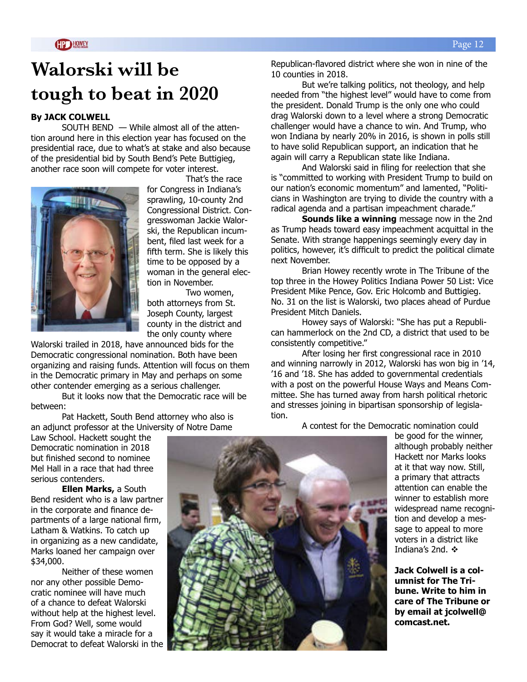## **Walorski will be tough to beat in 2020**

#### **By JACK COLWELL**

SOUTH BEND — While almost all of the attention around here in this election year has focused on the presidential race, due to what's at stake and also because of the presidential bid by South Bend's Pete Buttigieg, another race soon will compete for voter interest.



 That's the race for Congress in Indiana's sprawling, 10-county 2nd Congressional District. Congresswoman Jackie Walorski, the Republican incumbent, filed last week for a fifth term. She is likely this time to be opposed by a woman in the general election in November.

 Two women, both attorneys from St. Joseph County, largest county in the district and the only county where

Walorski trailed in 2018, have announced bids for the Democratic congressional nomination. Both have been organizing and raising funds. Attention will focus on them in the Democratic primary in May and perhaps on some other contender emerging as a serious challenger.

But it looks now that the Democratic race will be between:

Pat Hackett, South Bend attorney who also is an adjunct professor at the University of Notre Dame

Law School. Hackett sought the Democratic nomination in 2018 but finished second to nominee Mel Hall in a race that had three serious contenders.

**Ellen Marks,** a South Bend resident who is a law partner in the corporate and finance departments of a large national firm, Latham & Watkins. To catch up in organizing as a new candidate, Marks loaned her campaign over \$34,000.

Neither of these women nor any other possible Democratic nominee will have much of a chance to defeat Walorski without help at the highest level. From God? Well, some would say it would take a miracle for a Democrat to defeat Walorski in the Republican-flavored district where she won in nine of the 10 counties in 2018.

But we're talking politics, not theology, and help needed from "the highest level" would have to come from the president. Donald Trump is the only one who could drag Walorski down to a level where a strong Democratic challenger would have a chance to win. And Trump, who won Indiana by nearly 20% in 2016, is shown in polls still to have solid Republican support, an indication that he again will carry a Republican state like Indiana.

And Walorski said in filing for reelection that she is "committed to working with President Trump to build on our nation's economic momentum" and lamented, "Politicians in Washington are trying to divide the country with a radical agenda and a partisan impeachment charade."

**Sounds like a winning** message now in the 2nd as Trump heads toward easy impeachment acquittal in the Senate. With strange happenings seemingly every day in politics, however, it's difficult to predict the political climate next November.

Brian Howey recently wrote in The Tribune of the top three in the Howey Politics Indiana Power 50 List: Vice President Mike Pence, Gov. Eric Holcomb and Buttigieg. No. 31 on the list is Walorski, two places ahead of Purdue President Mitch Daniels.

Howey says of Walorski: "She has put a Republican hammerlock on the 2nd CD, a district that used to be consistently competitive."

After losing her first congressional race in 2010 and winning narrowly in 2012, Walorski has won big in '14, '16 and '18. She has added to governmental credentials with a post on the powerful House Ways and Means Committee. She has turned away from harsh political rhetoric and stresses joining in bipartisan sponsorship of legislation.

A contest for the Democratic nomination could



be good for the winner, although probably neither Hackett nor Marks looks at it that way now. Still, a primary that attracts attention can enable the winner to establish more widespread name recognition and develop a message to appeal to more voters in a district like Indiana's 2nd.  $\cdot$ 

**Jack Colwell is a columnist for The Tribune. Write to him in care of The Tribune or by email at jcolwell@ comcast.net.**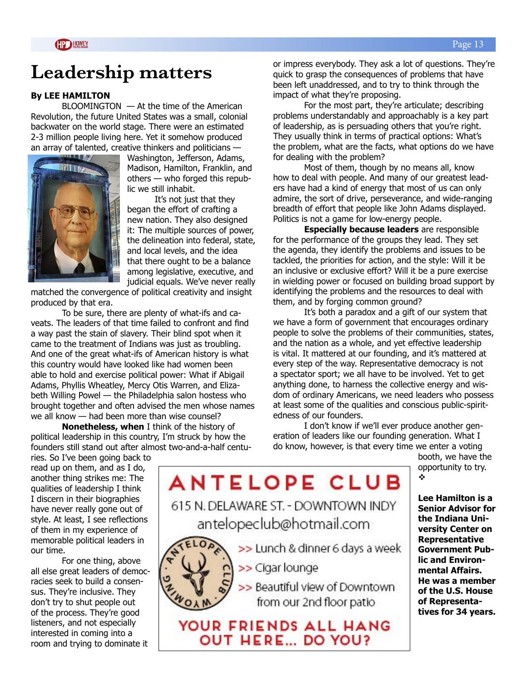### **Leadership matters**

#### **By LEE HAMILTON**

BLOOMINGTON — At the time of the American Revolution, the future United States was a small, colonial backwater on the world stage. There were an estimated 2-3 million people living here. Yet it somehow produced an array of talented, creative thinkers and politicians —



Washington, Jefferson, Adams, Madison, Hamilton, Franklin, and others — who forged this republic we still inhabit.

It's not just that they began the effort of crafting a new nation. They also designed it: The multiple sources of power, the delineation into federal, state, and local levels, and the idea that there ought to be a balance among legislative, executive, and judicial equals. We've never really

matched the convergence of political creativity and insight produced by that era.

To be sure, there are plenty of what-ifs and caveats. The leaders of that time failed to confront and find a way past the stain of slavery. Their blind spot when it came to the treatment of Indians was just as troubling. And one of the great what-ifs of American history is what this country would have looked like had women been able to hold and exercise political power: What if Abigail Adams, Phyllis Wheatley, Mercy Otis Warren, and Elizabeth Willing Powel — the Philadelphia salon hostess who brought together and often advised the men whose names we all know — had been more than wise counsel?

**Nonetheless, when** I think of the history of political leadership in this country, I'm struck by how the founders still stand out after almost two-and-a-half centuor impress everybody. They ask a lot of questions. They're quick to grasp the consequences of problems that have been left unaddressed, and to try to think through the impact of what they're proposing.

For the most part, they're articulate; describing problems understandably and approachably is a key part of leadership, as is persuading others that you're right. They usually think in terms of practical options: What's the problem, what are the facts, what options do we have for dealing with the problem?

Most of them, though by no means all, know how to deal with people. And many of our greatest leaders have had a kind of energy that most of us can only admire, the sort of drive, perseverance, and wide-ranging breadth of effort that people like John Adams displayed. Politics is not a game for low-energy people.

**Especially because leaders** are responsible for the performance of the groups they lead. They set the agenda, they identify the problems and issues to be tackled, the priorities for action, and the style: Will it be an inclusive or exclusive effort? Will it be a pure exercise in wielding power or focused on building broad support by identifying the problems and the resources to deal with them, and by forging common ground?

It's both a paradox and a gift of our system that we have a form of government that encourages ordinary people to solve the problems of their communities, states, and the nation as a whole, and yet effective leadership is vital. It mattered at our founding, and it's mattered at every step of the way. Representative democracy is not a spectator sport; we all have to be involved. Yet to get anything done, to harness the collective energy and wisdom of ordinary Americans, we need leaders who possess at least some of the qualities and conscious public-spiritedness of our founders.

I don't know if we'll ever produce another generation of leaders like our founding generation. What I do know, however, is that every time we enter a voting

booth, we have the opportunity to try.  $\ddot{\cdot}$ 

ries. So I've been going back to read up on them, and as I do, another thing strikes me: The qualities of leadership I think I discern in their biographies have never really gone out of style. At least, I see reflections of them in my experience of memorable political leaders in our time.

For one thing, above all else great leaders of democracies seek to build a consensus. They're inclusive. They don't try to shut people out of the process. They're good listeners, and not especially interested in coming into a room and trying to dominate it

**ANTELOPE CLUB** 615 N. DELAWARE ST. - DOWNTOWN INDY antelopeclub@hotmail.com >> Lunch & dinner 6 days a week



>> Cigar lounge

>> Beautiful view of Downtown from our 2nd floor patio

YOUR FRIENDS ALL HANG **OUT HERE... DO YOU?** 

**Lee Hamilton is a Senior Advisor for the Indiana University Center on Representative Government Public and Environmental Affairs. He was a member of the U.S. House of Representatives for 34 years.**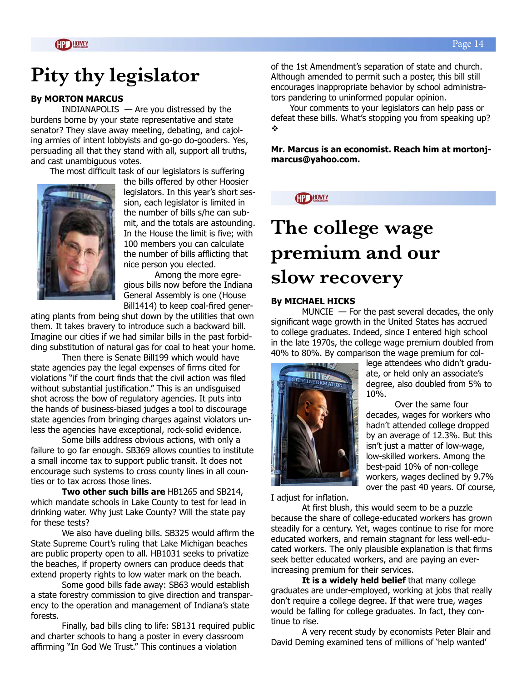## **Pity thy legislator**

#### **By MORTON MARCUS**

INDIANAPOLIS — Are you distressed by the burdens borne by your state representative and state senator? They slave away meeting, debating, and cajoling armies of intent lobbyists and go-go do-gooders. Yes, persuading all that they stand with all, support all truths, and cast unambiguous votes.

The most difficult task of our legislators is suffering



the bills offered by other Hoosier legislators. In this year's short session, each legislator is limited in the number of bills s/he can submit, and the totals are astounding. In the House the limit is five; with 100 members you can calculate the number of bills afflicting that nice person you elected.

 Among the more egregious bills now before the Indiana General Assembly is one (House Bill1414) to keep coal-fired gener-

ating plants from being shut down by the utilities that own them. It takes bravery to introduce such a backward bill. Imagine our cities if we had similar bills in the past forbidding substitution of natural gas for coal to heat your home.

 Then there is Senate Bill199 which would have state agencies pay the legal expenses of firms cited for violations "if the court finds that the civil action was filed without substantial justification." This is an undisguised shot across the bow of regulatory agencies. It puts into the hands of business-biased judges a tool to discourage state agencies from bringing charges against violators unless the agencies have exceptional, rock-solid evidence.

 Some bills address obvious actions, with only a failure to go far enough. SB369 allows counties to institute a small income tax to support public transit. It does not encourage such systems to cross county lines in all counties or to tax across those lines.

 **Two other such bills are** HB1265 and SB214, which mandate schools in Lake County to test for lead in drinking water. Why just Lake County? Will the state pay for these tests?

 We also have dueling bills. SB325 would affirm the State Supreme Court's ruling that Lake Michigan beaches are public property open to all. HB1031 seeks to privatize the beaches, if property owners can produce deeds that extend property rights to low water mark on the beach.

 Some good bills fade away: SB63 would establish a state forestry commission to give direction and transparency to the operation and management of Indiana's state forests.

 Finally, bad bills cling to life: SB131 required public and charter schools to hang a poster in every classroom affirming "In God We Trust." This continues a violation

of the 1st Amendment's separation of state and church. Although amended to permit such a poster, this bill still encourages inappropriate behavior by school administrators pandering to uninformed popular opinion.

 Your comments to your legislators can help pass or defeat these bills. What's stopping you from speaking up?  $\ddot{\cdot}$ 

**Mr. Marcus is an economist. Reach him at mortonjmarcus@yahoo.com.** 

**GP HOWEY** 

# **The college wage premium and our slow recovery**

#### **By MICHAEL HICKS**

 $MUNCIE$  — For the past several decades, the only significant wage growth in the United States has accrued to college graduates. Indeed, since I entered high school in the late 1970s, the college wage premium doubled from 40% to 80%. By comparison the wage premium for col-



lege attendees who didn't graduate, or held only an associate's degree, also doubled from 5% to 10%.

Over the same four decades, wages for workers who hadn't attended college dropped by an average of 12.3%. But this isn't just a matter of low-wage, low-skilled workers. Among the best-paid 10% of non-college workers, wages declined by 9.7% over the past 40 years. Of course,

I adjust for inflation.

At first blush, this would seem to be a puzzle because the share of college-educated workers has grown steadily for a century. Yet, wages continue to rise for more educated workers, and remain stagnant for less well-educated workers. The only plausible explanation is that firms seek better educated workers, and are paying an everincreasing premium for their services.

**It is a widely held belief** that many college graduates are under-employed, working at jobs that really don't require a college degree. If that were true, wages would be falling for college graduates. In fact, they continue to rise.

A very recent study by economists Peter Blair and David Deming examined tens of millions of 'help wanted'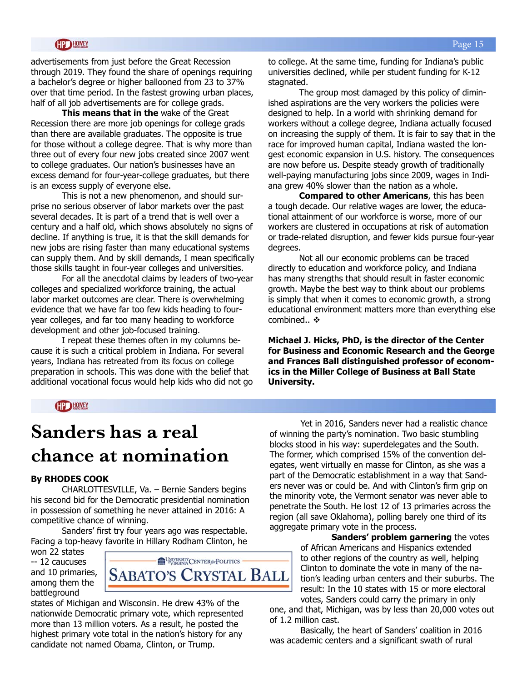advertisements from just before the Great Recession through 2019. They found the share of openings requiring a bachelor's degree or higher ballooned from 23 to 37% over that time period. In the fastest growing urban places, half of all job advertisements are for college grads.

**This means that in the** wake of the Great Recession there are more job openings for college grads than there are available graduates. The opposite is true for those without a college degree. That is why more than three out of every four new jobs created since 2007 went to college graduates. Our nation's businesses have an excess demand for four-year-college graduates, but there is an excess supply of everyone else.

This is not a new phenomenon, and should surprise no serious observer of labor markets over the past several decades. It is part of a trend that is well over a century and a half old, which shows absolutely no signs of decline. If anything is true, it is that the skill demands for new jobs are rising faster than many educational systems can supply them. And by skill demands, I mean specifically those skills taught in four-year colleges and universities.

For all the anecdotal claims by leaders of two-year colleges and specialized workforce training, the actual labor market outcomes are clear. There is overwhelming evidence that we have far too few kids heading to fouryear colleges, and far too many heading to workforce development and other job-focused training.

I repeat these themes often in my columns because it is such a critical problem in Indiana. For several years, Indiana has retreated from its focus on college preparation in schools. This was done with the belief that additional vocational focus would help kids who did not go to college. At the same time, funding for Indiana's public universities declined, while per student funding for K-12 stagnated.

The group most damaged by this policy of diminished aspirations are the very workers the policies were designed to help. In a world with shrinking demand for workers without a college degree, Indiana actually focused on increasing the supply of them. It is fair to say that in the race for improved human capital, Indiana wasted the longest economic expansion in U.S. history. The consequences are now before us. Despite steady growth of traditionally well-paying manufacturing jobs since 2009, wages in Indiana grew 40% slower than the nation as a whole.

**Compared to other Americans**, this has been a tough decade. Our relative wages are lower, the educational attainment of our workforce is worse, more of our workers are clustered in occupations at risk of automation or trade-related disruption, and fewer kids pursue four-year degrees.

Not all our economic problems can be traced directly to education and workforce policy, and Indiana has many strengths that should result in faster economic growth. Maybe the best way to think about our problems is simply that when it comes to economic growth, a strong educational environment matters more than everything else combined..  $\mathbf{\hat{\cdot}}$ 

**Michael J. Hicks, PhD, is the director of the Center for Business and Economic Research and the George and Frances Ball distinguished professor of economics in the Miller College of Business at Ball State University.**

#### **HPD HOWEY**

### **Sanders has a real chance at nomination**

#### **By RHODES COOK**

CHARLOTTESVILLE, Va. – Bernie Sanders begins his second bid for the Democratic presidential nomination in possession of something he never attained in 2016: A competitive chance of winning.

Sanders' first try four years ago was respectable. Facing a top-heavy favorite in Hillary Rodham Clinton, he

won 22 states -- 12 caucuses and 10 primaries, among them the battleground



states of Michigan and Wisconsin. He drew 43% of the nationwide Democratic primary vote, which represented more than 13 million voters. As a result, he posted the highest primary vote total in the nation's history for any candidate not named Obama, Clinton, or Trump.

Yet in 2016, Sanders never had a realistic chance of winning the party's nomination. Two basic stumbling blocks stood in his way: superdelegates and the South. The former, which comprised 15% of the convention delegates, went virtually en masse for Clinton, as she was a part of the Democratic establishment in a way that Sanders never was or could be. And with Clinton's firm grip on the minority vote, the Vermont senator was never able to penetrate the South. He lost 12 of 13 primaries across the region (all save Oklahoma), polling barely one third of its aggregate primary vote in the process.

> **Sanders' problem garnering** the votes of African Americans and Hispanics extended to other regions of the country as well, helping Clinton to dominate the vote in many of the nation's leading urban centers and their suburbs. The result: In the 10 states with 15 or more electoral votes, Sanders could carry the primary in only

one, and that, Michigan, was by less than 20,000 votes out of 1.2 million cast.

Basically, the heart of Sanders' coalition in 2016 was academic centers and a significant swath of rural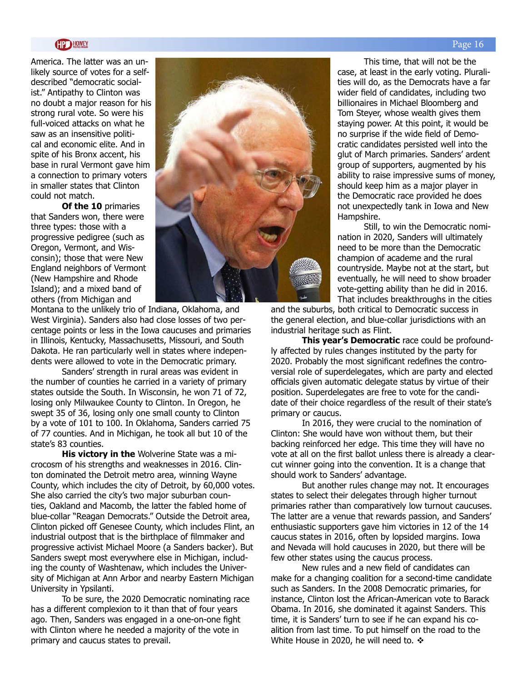America. The latter was an unlikely source of votes for a selfdescribed "democratic socialist." Antipathy to Clinton was no doubt a major reason for his strong rural vote. So were his full-voiced attacks on what he saw as an insensitive political and economic elite. And in spite of his Bronx accent, his base in rural Vermont gave him a connection to primary voters in smaller states that Clinton could not match.

**Of the 10** primaries that Sanders won, there were three types: those with a progressive pedigree (such as Oregon, Vermont, and Wisconsin); those that were New England neighbors of Vermont (New Hampshire and Rhode Island); and a mixed band of others (from Michigan and



Montana to the unlikely trio of Indiana, Oklahoma, and West Virginia). Sanders also had close losses of two percentage points or less in the Iowa caucuses and primaries in Illinois, Kentucky, Massachusetts, Missouri, and South Dakota. He ran particularly well in states where independents were allowed to vote in the Democratic primary.

Sanders' strength in rural areas was evident in the number of counties he carried in a variety of primary states outside the South. In Wisconsin, he won 71 of 72, losing only Milwaukee County to Clinton. In Oregon, he swept 35 of 36, losing only one small county to Clinton by a vote of 101 to 100. In Oklahoma, Sanders carried 75 of 77 counties. And in Michigan, he took all but 10 of the state's 83 counties.

**His victory in the** Wolverine State was a microcosm of his strengths and weaknesses in 2016. Clinton dominated the Detroit metro area, winning Wayne County, which includes the city of Detroit, by 60,000 votes. She also carried the city's two major suburban counties, Oakland and Macomb, the latter the fabled home of blue-collar "Reagan Democrats." Outside the Detroit area, Clinton picked off Genesee County, which includes Flint, an industrial outpost that is the birthplace of filmmaker and progressive activist Michael Moore (a Sanders backer). But Sanders swept most everywhere else in Michigan, including the county of Washtenaw, which includes the University of Michigan at Ann Arbor and nearby Eastern Michigan University in Ypsilanti.

To be sure, the 2020 Democratic nominating race has a different complexion to it than that of four years ago. Then, Sanders was engaged in a one-on-one fight with Clinton where he needed a majority of the vote in primary and caucus states to prevail.

This time, that will not be the case, at least in the early voting. Pluralities will do, as the Democrats have a far wider field of candidates, including two billionaires in Michael Bloomberg and Tom Steyer, whose wealth gives them staying power. At this point, it would be no surprise if the wide field of Democratic candidates persisted well into the glut of March primaries. Sanders' ardent group of supporters, augmented by his ability to raise impressive sums of money, should keep him as a major player in the Democratic race provided he does not unexpectedly tank in Iowa and New Hampshire.

Still, to win the Democratic nomination in 2020, Sanders will ultimately need to be more than the Democratic champion of academe and the rural countryside. Maybe not at the start, but eventually, he will need to show broader vote-getting ability than he did in 2016. That includes breakthroughs in the cities

and the suburbs, both critical to Democratic success in the general election, and blue-collar jurisdictions with an industrial heritage such as Flint.

**This year's Democratic** race could be profoundly affected by rules changes instituted by the party for 2020. Probably the most significant redefines the controversial role of superdelegates, which are party and elected officials given automatic delegate status by virtue of their position. Superdelegates are free to vote for the candidate of their choice regardless of the result of their state's primary or caucus.

In 2016, they were crucial to the nomination of Clinton: She would have won without them, but their backing reinforced her edge. This time they will have no vote at all on the first ballot unless there is already a clearcut winner going into the convention. It is a change that should work to Sanders' advantage.

But another rules change may not. It encourages states to select their delegates through higher turnout primaries rather than comparatively low turnout caucuses. The latter are a venue that rewards passion, and Sanders' enthusiastic supporters gave him victories in 12 of the 14 caucus states in 2016, often by lopsided margins. Iowa and Nevada will hold caucuses in 2020, but there will be few other states using the caucus process.

New rules and a new field of candidates can make for a changing coalition for a second-time candidate such as Sanders. In the 2008 Democratic primaries, for instance, Clinton lost the African-American vote to Barack Obama. In 2016, she dominated it against Sanders. This time, it is Sanders' turn to see if he can expand his coalition from last time. To put himself on the road to the White House in 2020, he will need to.  $\div$ 

#### Page 16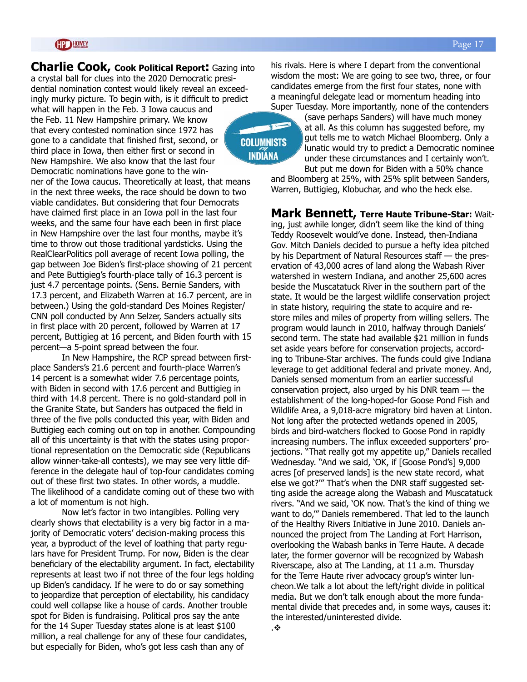#### **GP HOWEY**

**Charlie Cook, Cook Political Report:** Gazing into a crystal ball for clues into the 2020 Democratic presidential nomination contest would likely reveal an exceedingly murky picture. To begin with, is it difficult to predict what will happen in the Feb. 3 Iowa caucus and the Feb. 11 New Hampshire primary. We know that every contested nomination since 1972 has gone to a candidate that finished first, second, or third place in Iowa, then either first or second in New Hampshire. We also know that the last four Democratic nominations have gone to the win-

ner of the Iowa caucus. Theoretically at least, that means in the next three weeks, the race should be down to two viable candidates. But considering that four Democrats have claimed first place in an Iowa poll in the last four weeks, and the same four have each been in first place in New Hampshire over the last four months, maybe it's time to throw out those traditional yardsticks. Using the RealClearPolitics poll average of recent Iowa polling, the gap between Joe Biden's first-place showing of 21 percent and Pete Buttigieg's fourth-place tally of 16.3 percent is just 4.7 percentage points. (Sens. Bernie Sanders, with 17.3 percent, and Elizabeth Warren at 16.7 percent, are in between.) Using the gold-standard Des Moines Register/ CNN poll conducted by Ann Selzer, Sanders actually sits in first place with 20 percent, followed by Warren at 17 percent, Buttigieg at 16 percent, and Biden fourth with 15 percent—a 5-point spread between the four.

In New Hampshire, the RCP spread between firstplace Sanders's 21.6 percent and fourth-place Warren's 14 percent is a somewhat wider 7.6 percentage points, with Biden in second with 17.6 percent and Buttigieg in third with 14.8 percent. There is no gold-standard poll in the Granite State, but Sanders has outpaced the field in three of the five polls conducted this year, with Biden and Buttigieg each coming out on top in another. Compounding all of this uncertainty is that with the states using proportional representation on the Democratic side (Republicans allow winner-take-all contests), we may see very little difference in the delegate haul of top-four candidates coming out of these first two states. In other words, a muddle. The likelihood of a candidate coming out of these two with a lot of momentum is not high.

Now let's factor in two intangibles. Polling very clearly shows that electability is a very big factor in a majority of Democratic voters' decision-making process this year, a byproduct of the level of loathing that party regulars have for President Trump. For now, Biden is the clear beneficiary of the electability argument. In fact, electability represents at least two if not three of the four legs holding up Biden's candidacy. If he were to do or say something to jeopardize that perception of electability, his candidacy could well collapse like a house of cards. Another trouble spot for Biden is fundraising. Political pros say the ante for the 14 Super Tuesday states alone is at least \$100 million, a real challenge for any of these four candidates, but especially for Biden, who's got less cash than any of

his rivals. Here is where I depart from the conventional wisdom the most: We are going to see two, three, or four candidates emerge from the first four states, none with a meaningful delegate lead or momentum heading into Super Tuesday. More importantly, none of the contenders

### **COLUMNISTS INDIANA**

(save perhaps Sanders) will have much money at all. As this column has suggested before, my gut tells me to watch Michael Bloomberg. Only a lunatic would try to predict a Democratic nominee under these circumstances and I certainly won't. But put me down for Biden with a 50% chance

and Bloomberg at 25%, with 25% split between Sanders, Warren, Buttigieg, Klobuchar, and who the heck else.

**Mark Bennett, Terre Haute Tribune-Star:** Waiting, just awhile longer, didn't seem like the kind of thing Teddy Roosevelt would've done. Instead, then-Indiana Gov. Mitch Daniels decided to pursue a hefty idea pitched by his Department of Natural Resources staff — the preservation of 43,000 acres of land along the Wabash River watershed in western Indiana, and another 25,600 acres beside the Muscatatuck River in the southern part of the state. It would be the largest wildlife conservation project in state history, requiring the state to acquire and restore miles and miles of property from willing sellers. The program would launch in 2010, halfway through Daniels' second term. The state had available \$21 million in funds set aside years before for conservation projects, according to Tribune-Star archives. The funds could give Indiana leverage to get additional federal and private money. And, Daniels sensed momentum from an earlier successful conservation project, also urged by his DNR team — the establishment of the long-hoped-for Goose Pond Fish and Wildlife Area, a 9,018-acre migratory bird haven at Linton. Not long after the protected wetlands opened in 2005, birds and bird-watchers flocked to Goose Pond in rapidly increasing numbers. The influx exceeded supporters' projections. "That really got my appetite up," Daniels recalled Wednesday. "And we said, 'OK, if [Goose Pond's] 9,000 acres [of preserved lands] is the new state record, what else we got?'" That's when the DNR staff suggested setting aside the acreage along the Wabash and Muscatatuck rivers. "And we said, 'OK now. That's the kind of thing we want to do,'" Daniels remembered. That led to the launch of the Healthy Rivers Initiative in June 2010. Daniels announced the project from The Landing at Fort Harrison, overlooking the Wabash banks in Terre Haute. A decade later, the former governor will be recognized by Wabash Riverscape, also at The Landing, at 11 a.m. Thursday for the Terre Haute river advocacy group's winter luncheon.We talk a lot about the left/right divide in political media. But we don't talk enough about the more fundamental divide that precedes and, in some ways, causes it: the interested/uninterested divide. .v